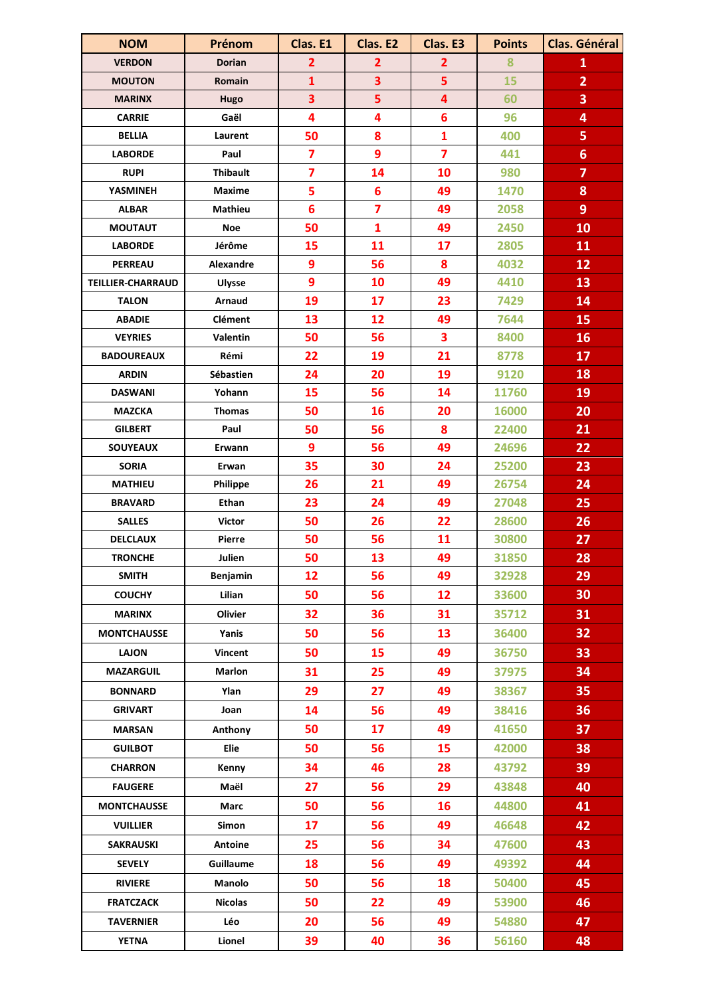| <b>NOM</b>               | Prénom           | Clas. E1                | Clas. E2                | Clas. E3                | <b>Points</b> | Clas. Général           |
|--------------------------|------------------|-------------------------|-------------------------|-------------------------|---------------|-------------------------|
| <b>VERDON</b>            | <b>Dorian</b>    | $\overline{2}$          | $\overline{2}$          | $\overline{\mathbf{2}}$ | 8             | $\mathbf{1}$            |
| <b>MOUTON</b>            | Romain           | $\mathbf{1}$            | $\overline{\mathbf{3}}$ | 5                       | 15            | $\overline{2}$          |
| <b>MARINX</b>            | Hugo             | 3                       | 5                       | 4                       | 60            | 3                       |
| <b>CARRIE</b>            | Gaël             | $\overline{\mathbf{4}}$ | $\overline{\mathbf{4}}$ | $6\phantom{a}$          | 96            | 4                       |
| <b>BELLIA</b>            | Laurent          | 50                      | 8                       | $\mathbf{1}$            | 400           | 5                       |
| <b>LABORDE</b>           | Paul             | $\overline{\mathbf{z}}$ | $\overline{9}$          | $\overline{7}$          | 441           | $6\phantom{a}$          |
| <b>RUPI</b>              | <b>Thibault</b>  | $\overline{7}$          | 14                      | 10                      | 980           | $\overline{\mathbf{z}}$ |
| YASMINEH                 | <b>Maxime</b>    | 5                       | $6\phantom{1}6$         | 49                      | 1470          | 8                       |
| <b>ALBAR</b>             | <b>Mathieu</b>   | $6\phantom{1}6$         | $\overline{7}$          | 49                      | 2058          | 9                       |
| <b>MOUTAUT</b>           | <b>Noe</b>       | 50                      | $\mathbf{1}$            | 49                      | 2450          | 10                      |
| <b>LABORDE</b>           | Jérôme           | 15                      | 11                      | 17                      | 2805          | 11                      |
| <b>PERREAU</b>           | Alexandre        | 9                       | 56                      | 8                       | 4032          | 12                      |
| <b>TEILLIER-CHARRAUD</b> | <b>Ulysse</b>    | 9                       | 10                      | 49                      | 4410          | 13                      |
| <b>TALON</b>             | Arnaud           | 19                      | 17                      | 23                      | 7429          | 14                      |
| <b>ABADIE</b>            | <b>Clément</b>   | 13                      | 12                      | 49                      | 7644          | 15                      |
| <b>VEYRIES</b>           | Valentin         | 50                      | 56                      | 3                       | 8400          | 16                      |
| <b>BADOUREAUX</b>        | Rémi             | 22                      | 19                      | 21                      | 8778          | 17                      |
| <b>ARDIN</b>             | Sébastien        | 24                      | 20                      | 19                      | 9120          | 18                      |
| <b>DASWANI</b>           | Yohann           | 15                      | 56                      | 14                      | 11760         | 19                      |
| <b>MAZCKA</b>            | <b>Thomas</b>    | 50                      | 16                      | 20                      | 16000         | 20                      |
| <b>GILBERT</b>           | Paul             | 50                      | 56                      | 8                       | 22400         | 21                      |
| <b>SOUYEAUX</b>          | Erwann           | $\overline{9}$          | 56                      | 49                      | 24696         | 22                      |
| <b>SORIA</b>             | Erwan            | 35                      | 30                      | 24                      | 25200         | 23                      |
| <b>MATHIEU</b>           | <b>Philippe</b>  | 26                      | 21                      | 49                      | 26754         | 24                      |
| <b>BRAVARD</b>           | Ethan            | 23                      | 24                      | 49                      | 27048         | 25                      |
| <b>SALLES</b>            | <b>Victor</b>    | 50                      | 26                      | 22                      | 28600         | 26                      |
| <b>DELCLAUX</b>          | Pierre           | 50                      | 56                      | 11                      | 30800         | 27                      |
| <b>TRONCHE</b>           | Julien           | 50                      | 13                      | 49                      | 31850         | 28                      |
| <b>SMITH</b>             | Benjamin         | 12                      | 56                      | 49                      | 32928         | 29                      |
| <b>COUCHY</b>            | Lilian           | 50                      | 56                      | 12                      | 33600         | 30                      |
| <b>MARINX</b>            | Olivier          | 32                      | 36                      | 31                      | 35712         | 31                      |
| <b>MONTCHAUSSE</b>       | Yanis            | 50                      | 56                      | 13                      | 36400         | 32                      |
| <b>LAJON</b>             | Vincent          | 50                      | 15                      | 49                      | 36750         | 33                      |
| <b>MAZARGUIL</b>         | <b>Marlon</b>    | 31                      | 25                      | 49                      | 37975         | 34                      |
| <b>BONNARD</b>           | Ylan             | 29                      | 27                      | 49                      | 38367         | 35                      |
| <b>GRIVART</b>           | Joan             | 14                      | 56                      | 49                      | 38416         | 36                      |
| <b>MARSAN</b>            | Anthony          | 50                      | 17                      | 49                      | 41650         | 37                      |
| <b>GUILBOT</b>           | Elie             | 50                      | 56                      | 15                      | 42000         | 38                      |
| <b>CHARRON</b>           | Kenny            | 34                      | 46                      | 28                      | 43792         | 39                      |
| <b>FAUGERE</b>           | Maël             | 27                      | 56                      | 29                      | 43848         | 40                      |
| <b>MONTCHAUSSE</b>       | Marc             | 50                      | 56                      | 16                      | 44800         | 41                      |
| <b>VUILLIER</b>          | Simon            | 17                      | 56                      | 49                      | 46648         | 42                      |
| <b>SAKRAUSKI</b>         | Antoine          | 25                      | 56                      | 34                      | 47600         | 43                      |
| <b>SEVELY</b>            | <b>Guillaume</b> | 18                      | 56                      | 49                      | 49392         | 44                      |
| <b>RIVIERE</b>           | Manolo           | 50                      | 56                      | 18                      | 50400         | 45                      |
| <b>FRATCZACK</b>         | <b>Nicolas</b>   | 50                      | 22                      | 49                      | 53900         | 46                      |
| <b>TAVERNIER</b>         | Léo              | 20                      | 56                      | 49                      | 54880         | 47                      |
| <b>YETNA</b>             | Lionel           | 39                      | 40                      | 36                      | 56160         | 48                      |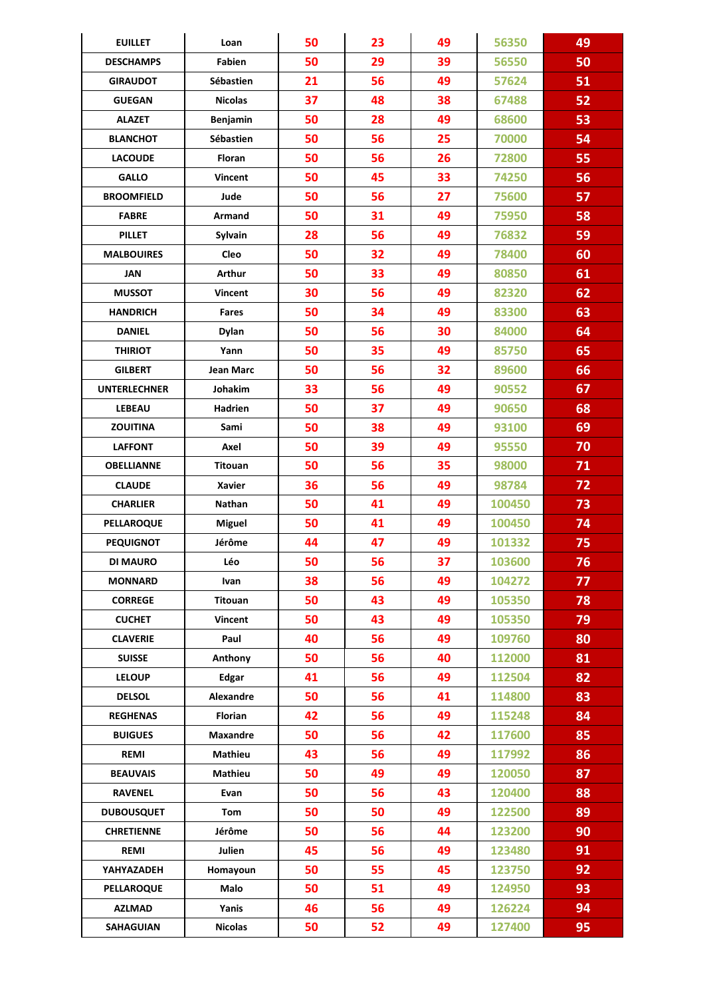| <b>EUILLET</b>      | Loan            | 50 | 23 | 49 | 56350  | 49 |
|---------------------|-----------------|----|----|----|--------|----|
| <b>DESCHAMPS</b>    | Fabien          | 50 | 29 | 39 | 56550  | 50 |
| <b>GIRAUDOT</b>     | Sébastien       | 21 | 56 | 49 | 57624  | 51 |
| <b>GUEGAN</b>       | <b>Nicolas</b>  | 37 | 48 | 38 | 67488  | 52 |
| <b>ALAZET</b>       | Benjamin        | 50 | 28 | 49 | 68600  | 53 |
| <b>BLANCHOT</b>     | Sébastien       | 50 | 56 | 25 | 70000  | 54 |
| <b>LACOUDE</b>      | Floran          | 50 | 56 | 26 | 72800  | 55 |
| <b>GALLO</b>        | <b>Vincent</b>  | 50 | 45 | 33 | 74250  | 56 |
| <b>BROOMFIELD</b>   | Jude            | 50 | 56 | 27 | 75600  | 57 |
| <b>FABRE</b>        | Armand          | 50 | 31 | 49 | 75950  | 58 |
| <b>PILLET</b>       | Sylvain         | 28 | 56 | 49 | 76832  | 59 |
| <b>MALBOUIRES</b>   | Cleo            | 50 | 32 | 49 | 78400  | 60 |
| JAN                 | Arthur          | 50 | 33 | 49 | 80850  | 61 |
| <b>MUSSOT</b>       | <b>Vincent</b>  | 30 | 56 | 49 | 82320  | 62 |
| <b>HANDRICH</b>     | <b>Fares</b>    | 50 | 34 | 49 | 83300  | 63 |
| <b>DANIEL</b>       | <b>Dylan</b>    | 50 | 56 | 30 | 84000  | 64 |
| <b>THIRIOT</b>      | Yann            | 50 | 35 | 49 | 85750  | 65 |
| <b>GILBERT</b>      | Jean Marc       | 50 | 56 | 32 | 89600  | 66 |
| <b>UNTERLECHNER</b> | <b>Johakim</b>  | 33 | 56 | 49 | 90552  | 67 |
| <b>LEBEAU</b>       | Hadrien         | 50 | 37 | 49 | 90650  | 68 |
| <b>ZOUITINA</b>     | Sami            | 50 | 38 | 49 | 93100  | 69 |
| <b>LAFFONT</b>      | Axel            | 50 | 39 | 49 | 95550  | 70 |
| <b>OBELLIANNE</b>   | <b>Titouan</b>  | 50 | 56 | 35 | 98000  | 71 |
| <b>CLAUDE</b>       | <b>Xavier</b>   | 36 | 56 | 49 | 98784  | 72 |
| <b>CHARLIER</b>     | Nathan          | 50 | 41 | 49 | 100450 | 73 |
| <b>PELLAROQUE</b>   | <b>Miguel</b>   | 50 | 41 | 49 | 100450 | 74 |
| <b>PEQUIGNOT</b>    | Jérôme          | 44 | 47 | 49 | 101332 | 75 |
| DI MAURO            | Léo             | 50 | 56 | 37 | 103600 | 76 |
| <b>MONNARD</b>      | Ivan            | 38 | 56 | 49 | 104272 | 77 |
| <b>CORREGE</b>      | Titouan         | 50 | 43 | 49 | 105350 | 78 |
| <b>CUCHET</b>       | Vincent         | 50 | 43 | 49 | 105350 | 79 |
| <b>CLAVERIE</b>     | Paul            | 40 | 56 | 49 | 109760 | 80 |
| <b>SUISSE</b>       | Anthony         | 50 | 56 | 40 | 112000 | 81 |
| <b>LELOUP</b>       | Edgar           | 41 | 56 | 49 | 112504 | 82 |
| <b>DELSOL</b>       | Alexandre       | 50 | 56 | 41 | 114800 | 83 |
| <b>REGHENAS</b>     | Florian         | 42 | 56 | 49 | 115248 | 84 |
| <b>BUIGUES</b>      | <b>Maxandre</b> | 50 | 56 | 42 | 117600 | 85 |
| <b>REMI</b>         | Mathieu         | 43 | 56 | 49 | 117992 | 86 |
| <b>BEAUVAIS</b>     | Mathieu         | 50 | 49 | 49 | 120050 | 87 |
| <b>RAVENEL</b>      | Evan            | 50 | 56 | 43 | 120400 | 88 |
| <b>DUBOUSQUET</b>   | Tom             | 50 | 50 | 49 | 122500 | 89 |
| <b>CHRETIENNE</b>   | Jérôme          | 50 | 56 | 44 | 123200 | 90 |
| <b>REMI</b>         | Julien          | 45 | 56 | 49 | 123480 | 91 |
| YAHYAZADEH          | Homayoun        | 50 | 55 | 45 | 123750 | 92 |
| <b>PELLAROQUE</b>   | Malo            | 50 | 51 | 49 | 124950 | 93 |
| <b>AZLMAD</b>       | Yanis           | 46 | 56 | 49 | 126224 | 94 |
| SAHAGUIAN           | <b>Nicolas</b>  | 50 | 52 | 49 | 127400 | 95 |